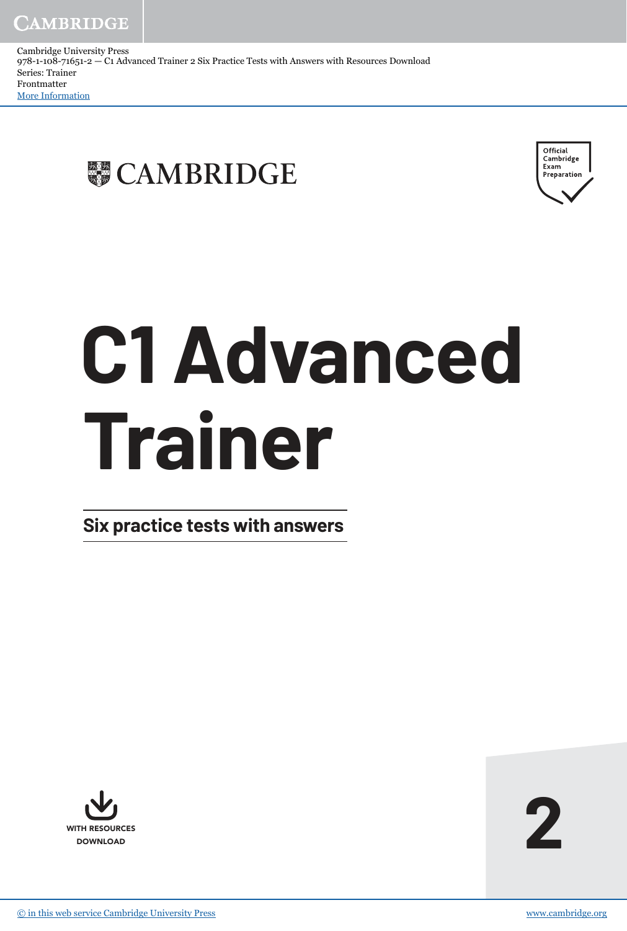Cambridge University Press 978-1-108-71651-2 — C1 Advanced Trainer 2 Six Practice Tests with Answers with Resources Download Series: Trainer Frontmatter [More Information](www.cambridge.org/9781108716512)





# **C1 Advanced Trainer**

**Six practice tests with answers**

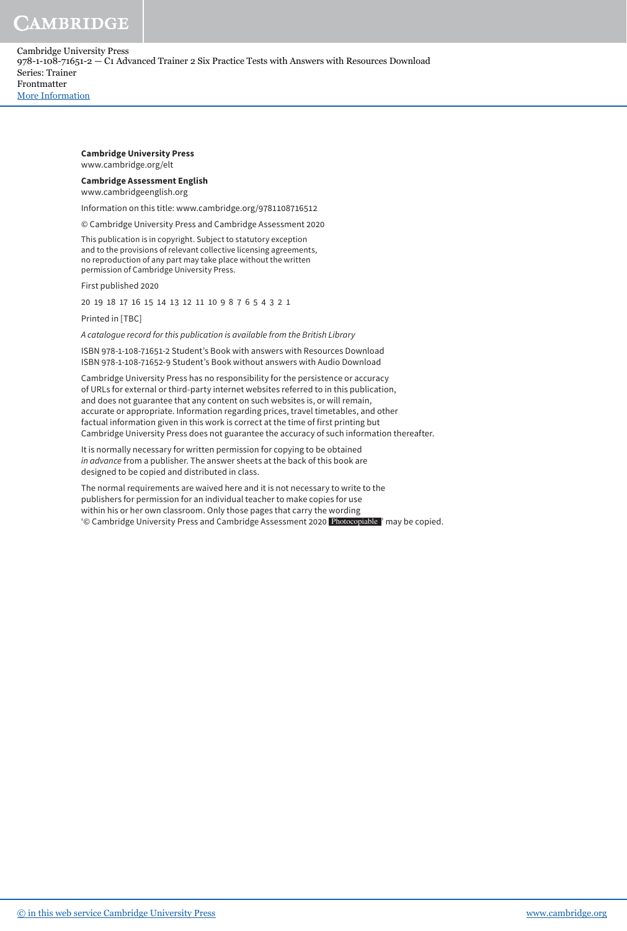# CAMBRIDGE

Cambridge University Press 978-1-108-71651-2 — C1 Advanced Trainer 2 Six Practice Tests with Answers with Resources Download Series: Trainer Frontmatter [More Information](www.cambridge.org/9781108716512)

> **Cambridge University Press** www.cambridge.org/elt

## **Cambridge Assessment English**

www.cambridgeenglish.org

Information on this title: www.cambridge.org/9781108716512

© Cambridge University Press and Cambridge Assessment 2020

This publication is in copyright. Subject to statutory exception and to the provisions of relevant collective licensing agreements, no reproduction of any part may take place without the written permission of Cambridge University Press.

First published 2020

20 19 18 17 16 15 14 13 12 11 10 9 8 7 6 5 4 3 2 1

Printed in [TBC]

A catalogue record for this publication is available from the British Library

ISBN 978-1-108-71651-2 Student's Book with answers with Resources Download ISBN 978-1-108-71652-9 Student's Book without answers with Audio Download

Cambridge University Press has no responsibility for the persistence or accuracy of URLs for external or third-party internet websites referred to in this publication, and does not guarantee that any content on such websites is, or will remain, accurate or appropriate. Information regarding prices, travel timetables, and other factual information given in this work is correct at the time of first printing but Cambridge University Press does not guarantee the accuracy of such information thereafter.

It is normally necessary for written permission for copying to be obtained in advance from a publisher. The answer sheets at the back of this book are designed to be copied and distributed in class.

The normal requirements are waived here and it is not necessary to write to the publishers for permission for an individual teacher to make copies for use within his or her own classroom. Only those pages that carry the wording '© Cambridge University Press and Cambridge Assessment 2020 Photocopiable ' may be copied.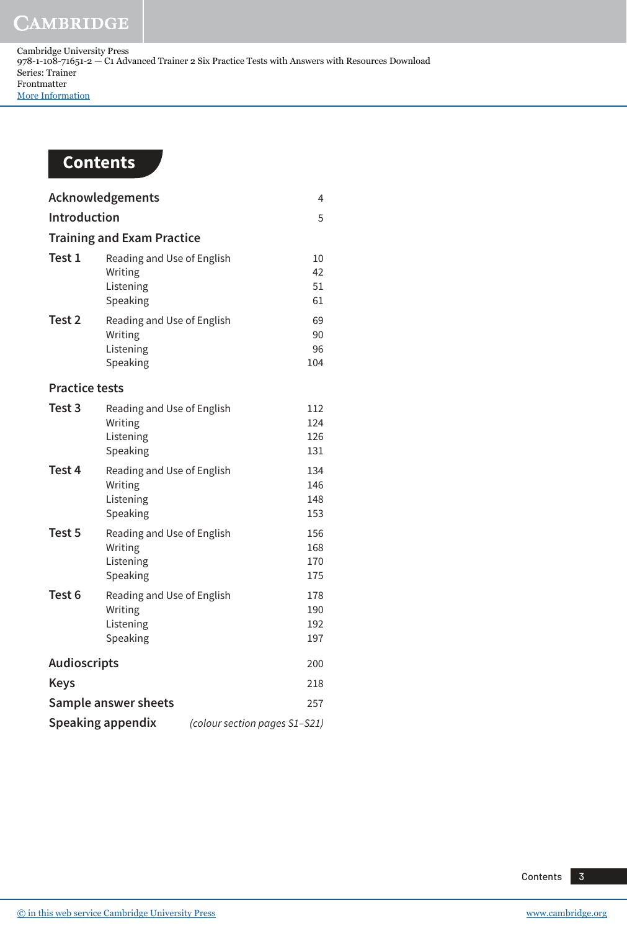**CAMBRIDGE** 



| Acknowledgements                                          |                                                                |  | 4                        |
|-----------------------------------------------------------|----------------------------------------------------------------|--|--------------------------|
| <b>Introduction</b>                                       |                                                                |  | 5                        |
| <b>Training and Exam Practice</b>                         |                                                                |  |                          |
| Test 1                                                    | Reading and Use of English<br>Writing<br>Listening<br>Speaking |  | 10<br>42<br>51<br>61     |
| Test 2                                                    | Reading and Use of English<br>Writing<br>Listening<br>Speaking |  | 69<br>90<br>96<br>104    |
| <b>Practice tests</b>                                     |                                                                |  |                          |
| Test 3                                                    | Reading and Use of English<br>Writing<br>Listening<br>Speaking |  | 112<br>124<br>126<br>131 |
| Test 4                                                    | Reading and Use of English<br>Writing<br>Listening<br>Speaking |  | 134<br>146<br>148<br>153 |
| Test 5                                                    | Reading and Use of English<br>Writing<br>Listening<br>Speaking |  | 156<br>168<br>170<br>175 |
| Test <sub>6</sub>                                         | Reading and Use of English<br>Writing<br>Listening<br>Speaking |  | 178<br>190<br>192<br>197 |
| <b>Audioscripts</b>                                       |                                                                |  | 200                      |
| <b>Keys</b>                                               |                                                                |  | 218                      |
| Sample answer sheets                                      |                                                                |  | 257                      |
| <b>Speaking appendix</b><br>(colour section pages S1-S21) |                                                                |  |                          |